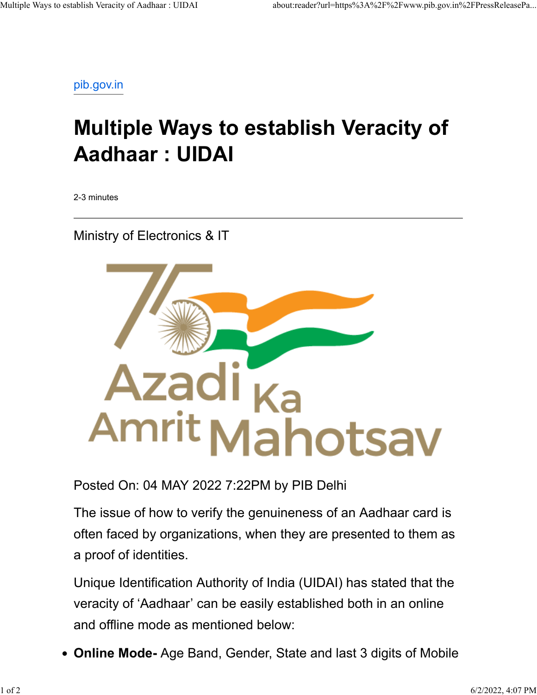[pib.gov.in](https://www.pib.gov.in/PressReleasePage.aspx?PRID=1822720)

## **Multiple Ways to establish Veracity of Aadhaar : UIDAI**

2-3 minutes

Ministry of Electronics & IT



Posted On: 04 MAY 2022 7:22PM by PIB Delhi

The issue of how to verify the genuineness of an Aadhaar card is often faced by organizations, when they are presented to them as a proof of identities.

Unique Identification Authority of India (UIDAI) has stated that the veracity of 'Aadhaar' can be easily established both in an online and offline mode as mentioned below:

• **Online Mode-** Age Band, Gender, State and last 3 digits of Mobile